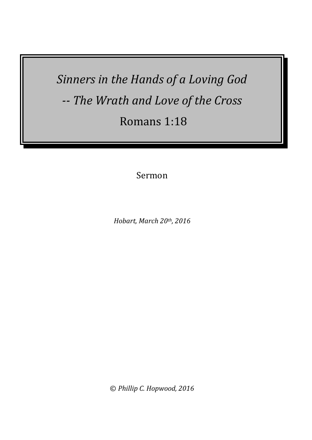*Sinners in the Hands of a Loving God -- The Wrath and Love of the Cross* Romans 1:18

Sermon

*Hobart, March 20th, 2016*

© *Phillip C. Hopwood, 2016*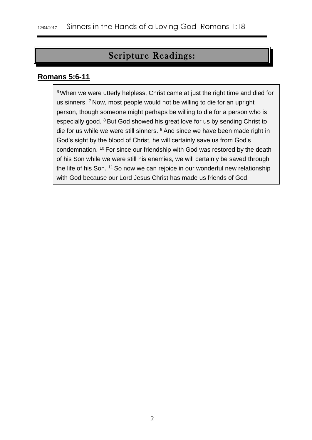# Scripture Readings:

#### **Romans 5:6-11**

<sup>6</sup> When we were utterly helpless, Christ came at just the right time and died for us sinners. <sup>7</sup> Now, most people would not be willing to die for an upright person, though someone might perhaps be willing to die for a person who is especially good. <sup>8</sup> But God showed his great love for us by sending Christ to die for us while we were still sinners. <sup>9</sup> And since we have been made right in God's sight by the blood of Christ, he will certainly save us from God's condemnation. <sup>10</sup> For since our friendship with God was restored by the death of his Son while we were still his enemies, we will certainly be saved through the life of his Son. <sup>11</sup> So now we can rejoice in our wonderful new relationship with God because our Lord Jesus Christ has made us friends of God.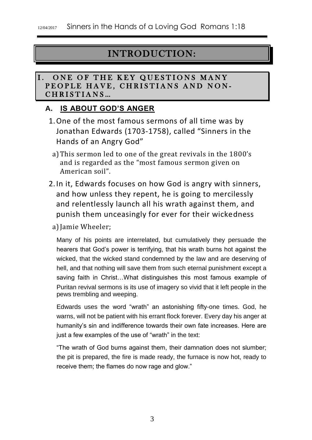# INTRODUCTION:

#### I. ONE OF THE KEY QUESTIONS MANY PEOPLE HAVE, CHRISTIANS AND NON-CHRISTIANS...

## **A. IS ABOUT GOD'S ANGER**

- 1.One of the most famous sermons of all time was by Jonathan Edwards (1703-1758), called "Sinners in the Hands of an Angry God"
	- a)This sermon led to one of the great revivals in the 1800's and is regarded as the "most famous sermon given on American soil".
- 2.In it, Edwards focuses on how God is angry with sinners, and how unless they repent, he is going to mercilessly and relentlessly launch all his wrath against them, and punish them unceasingly for ever for their wickedness
	- a) Jamie Wheeler;

Many of his points are interrelated, but cumulatively they persuade the hearers that God's power is terrifying, that his wrath burns hot against the wicked, that the wicked stand condemned by the law and are deserving of hell, and that nothing will save them from such eternal punishment except a saving faith in Christ…What distinguishes this most famous example of Puritan revival sermons is its use of imagery so vivid that it left people in the pews trembling and weeping.

Edwards uses the word "wrath" an astonishing fifty-one times. God, he warns, will not be patient with his errant flock forever. Every day his anger at humanity's sin and indifference towards their own fate increases. Here are just a few examples of the use of "wrath" in the text:

"The wrath of God burns against them, their damnation does not slumber; the pit is prepared, the fire is made ready, the furnace is now hot, ready to receive them; the flames do now rage and glow."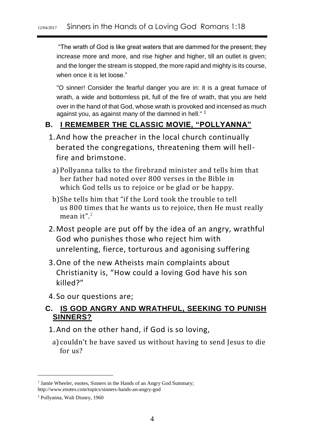"The wrath of God is like great waters that are dammed for the present; they increase more and more, and rise higher and higher, till an outlet is given; and the longer the stream is stopped, the more rapid and mighty is its course, when once it is let loose."

"O sinner! Consider the fearful danger you are in: it is a great furnace of wrath, a wide and bottomless pit, full of the fire of wrath, that you are held over in the hand of that God, whose wrath is provoked and incensed as much against you, as against many of the damned in hell." <sup>1</sup>

## **B. I REMEMBER THE CLASSIC MOVIE, "POLLYANNA"**

- 1.And how the preacher in the local church continually berated the congregations, threatening them will hellfire and brimstone.
	- a)Pollyanna talks to the firebrand minister and tells him that her father had noted over 800 verses in the Bible in which God tells us to rejoice or be glad or be happy.
	- b)She tells him that "if the Lord took the trouble to tell us 800 times that he wants us to rejoice, then He must really mean it". 2
- 2.Most people are put off by the idea of an angry, wrathful God who punishes those who reject him with unrelenting, fierce, torturous and agonising suffering
- 3.One of the new Atheists main complaints about Christianity is, "How could a loving God have his son killed?"
- 4. So our questions are;

## **C. IS GOD ANGRY AND WRATHFUL, SEEKING TO PUNISH SINNERS?**

- 1.And on the other hand, if God is so loving,
	- a) couldn't he have saved us without having to send Jesus to die for us?

 $\overline{a}$ 

<sup>&</sup>lt;sup>1</sup> Jamie Wheeler, enotes, Sinners in the Hands of an Angry God Summary; http://www.enotes.com/topics/sinners-hands-an-angry-god

<sup>2</sup> Pollyanna, Walt Disney, 1960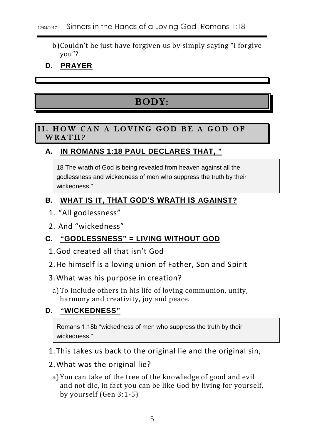- b)Couldn't he just have forgiven us by simply saying "I forgive you"?
- **D. PRAYER**

# BODY:

#### II. HOW CAN A LOVING GOD BE A GOD OF WRATH?

## **A. IN [ROMANS 1:18](http://biblia.com/bible/niv/Romans%201.18) PAUL DECLARES THAT, "**

18 The wrath of God is being revealed from heaven against all the godlessness and wickedness of men who suppress the truth by their wickedness."

### **B. WHAT IS IT, THAT GOD'S WRATH IS AGAINST?**

- 1. "All godlessness"
- 2. And "wickedness"

## **C. "GODLESSNESS" = LIVING WITHOUT GOD**

- 1.God created all that isn't God
- 2.He himself is a loving union of Father, Son and Spirit
- 3.What was his purpose in creation?
	- a)To include others in his life of loving communion, unity, harmony and creativity, joy and peace.

# **D. "WICKEDNESS"**

Romans 1:18b "wickedness of men who suppress the truth by their wickedness."

- 1.This takes us back to the original lie and the original sin,
- 2.What was the original lie?
	- a)You can take of the tree of the knowledge of good and evil and not die, in fact you can be like God by living for yourself, by yourself (Gen 3:1-5)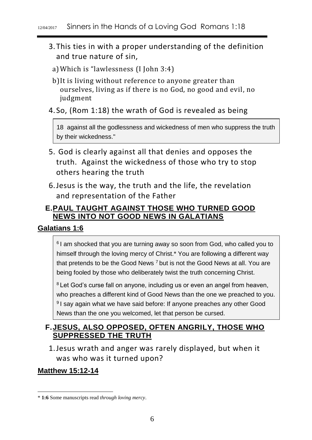#### 12/04/2017 Sinners in the Hands of a Loving God Romans 1:18

- 3.This ties in with a proper understanding of the definition and true nature of sin,
	- a)Which is "lawlessness (I John 3:4)
	- b)It is living without reference to anyone greater than ourselves, living as if there is no God, no good and evil, no judgment
- 4. So, (Rom 1:18) the wrath of God is revealed as being

18 against all the godlessness and wickedness of men who suppress the truth by their wickedness."

- 5. God is clearly against all that denies and opposes the truth. Against the wickedness of those who try to stop others hearing the truth
- 6.Jesus is the way, the truth and the life, the revelation and representation of the Father

## **E.PAUL TAUGHT AGAINST THOSE WHO TURNED GOOD NEWS INTO NOT GOOD NEWS IN GALATIANS**

## **Galatians 1:6**

<sup>6</sup> I am shocked that you are turning away so soon from God, who called you to himself through the loving mercy of Christ.\* You are following a different way that pretends to be the Good News <sup>7</sup> but is not the Good News at all. You are being fooled by those who deliberately twist the truth concerning Christ.

<sup>8</sup> Let God's curse fall on anyone, including us or even an angel from heaven, who preaches a different kind of Good News than the one we preached to you. <sup>9</sup>I say again what we have said before: If anyone preaches any other Good News than the one you welcomed, let that person be cursed.

## **F.JESUS, ALSO OPPOSED, OFTEN ANGRILY, THOSE WHO SUPPRESSED THE TRUTH**

1.Jesus wrath and anger was rarely displayed, but when it was who was it turned upon?

## **Matthew 15:12-14**

<sup>\*</sup> **1:6** Some manuscripts read *through loving mercy*.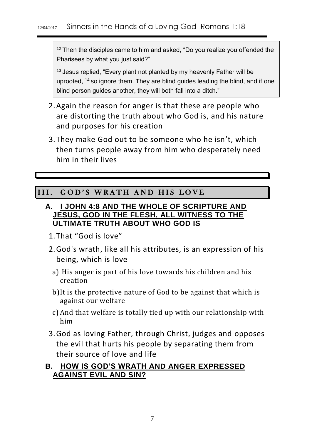$12$  Then the disciples came to him and asked, "Do you realize you offended the Pharisees by what you just said?"

<sup>13</sup> Jesus replied, "Every plant not planted by my heavenly Father will be uprooted, <sup>14</sup> so ignore them. They are blind guides leading the blind, and if one blind person guides another, they will both fall into a ditch."

- 2.Again the reason for anger is that these are people who are distorting the truth about who God is, and his nature and purposes for his creation
- 3.They make God out to be someone who he isn't, which then turns people away from him who desperately need him in their lives

# III. GOD'S WRATH AND HIS LOVE

#### **A. I JOHN 4:8 AND THE WHOLE OF SCRIPTURE AND JESUS, GOD IN THE FLESH, ALL WITNESS TO THE ULTIMATE TRUTH ABOUT WHO GOD IS**

- 1.That "God is love"
- 2.God's wrath, like all his attributes, is an expression of his being, which is love
	- a) His anger is part of his love towards his children and his creation
	- b)It is the protective nature of God to be against that which is against our welfare
	- c) And that welfare is totally tied up with our relationship with him
- 3.God as loving Father, through Christ, judges and opposes the evil that hurts his people by separating them from their source of love and life

## **B. HOW IS GOD'S WRATH AND ANGER EXPRESSED AGAINST EVIL AND SIN?**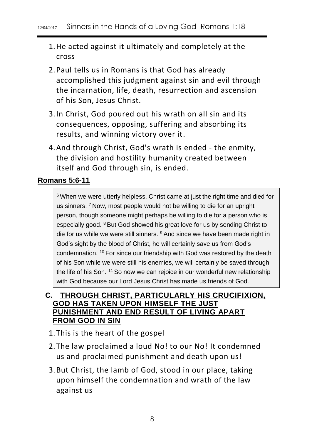#### 12/04/2017 Sinners in the Hands of a Loving God Romans 1:18

- 1.He acted against it ultimately and completely at the cross
- 2.Paul tells us in Romans is that God has already accomplished this judgment against sin and evil through the incarnation, life, death, resurrection and ascension of his Son, Jesus Christ.
- 3.In Christ, God poured out his wrath on all sin and its consequences, opposing, suffering and absorbing its results, and winning victory over it.
- 4.And through Christ, God's wrath is ended the enmity, the division and hostility humanity created between itself and God through sin, is ended.

#### **Romans 5:6-11**

<sup>6</sup> When we were utterly helpless, Christ came at just the right time and died for us sinners. <sup>7</sup> Now, most people would not be willing to die for an upright person, though someone might perhaps be willing to die for a person who is especially good. <sup>8</sup> But God showed his great love for us by sending Christ to die for us while we were still sinners. <sup>9</sup> And since we have been made right in God's sight by the blood of Christ, he will certainly save us from God's condemnation. <sup>10</sup> For since our friendship with God was restored by the death of his Son while we were still his enemies, we will certainly be saved through the life of his Son. <sup>11</sup> So now we can rejoice in our wonderful new relationship with God because our Lord Jesus Christ has made us friends of God.

#### **C. THROUGH CHRIST, PARTICULARLY HIS CRUCIFIXION, GOD HAS TAKEN UPON HIMSELF THE JUST PUNISHMENT AND END RESULT OF LIVING APART FROM GOD IN SIN**

- 1.This is the heart of the gospel
- 2.The law proclaimed a loud No! to our No! It condemned us and proclaimed punishment and death upon us!
- 3.But Christ, the lamb of God, stood in our place, taking upon himself the condemnation and wrath of the law against us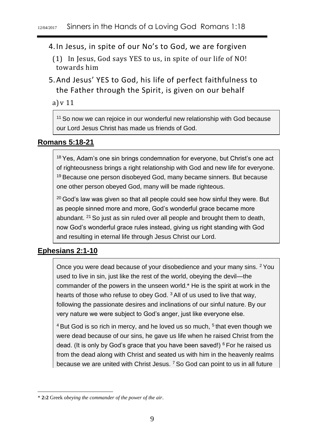4.In Jesus, in spite of our No's to God, we are forgiven

(1) In Jesus, God says YES to us, in spite of our life of NO! towards him

5.And Jesus' YES to God, his life of perfect faithfulness to the Father through the Spirit, is given on our behalf

a)v 11

<sup>11</sup> So now we can rejoice in our wonderful new relationship with God because our Lord Jesus Christ has made us friends of God.

#### **Romans 5:18-21**

<sup>18</sup> Yes, Adam's one sin brings condemnation for everyone, but Christ's one act of righteousness brings a right relationship with God and new life for everyone. <sup>19</sup> Because one person disobeyed God, many became sinners. But because one other person obeyed God, many will be made righteous.

 $20$  God's law was given so that all people could see how sinful they were. But as people sinned more and more, God's wonderful grace became more abundant. <sup>21</sup> So just as sin ruled over all people and brought them to death, now God's wonderful grace rules instead, giving us right standing with God and resulting in eternal life through Jesus Christ our Lord.

## **Ephesians 2:1-10**

-

Once you were dead because of your disobedience and your many sins. <sup>2</sup> You used to live in sin, just like the rest of the world, obeying the devil—the commander of the powers in the unseen world.\* He is the spirit at work in the hearts of those who refuse to obey God. <sup>3</sup> All of us used to live that way, following the passionate desires and inclinations of our sinful nature. By our very nature we were subject to God's anger, just like everyone else.

 $4$  But God is so rich in mercy, and he loved us so much,  $5$  that even though we were dead because of our sins, he gave us life when he raised Christ from the dead. (It is only by God's grace that you have been saved!)  $6$  For he raised us from the dead along with Christ and seated us with him in the heavenly realms because we are united with Christ Jesus. <sup>7</sup> So God can point to us in all future

<sup>\*</sup> **2:2** Greek *obeying the commander of the power of the air*.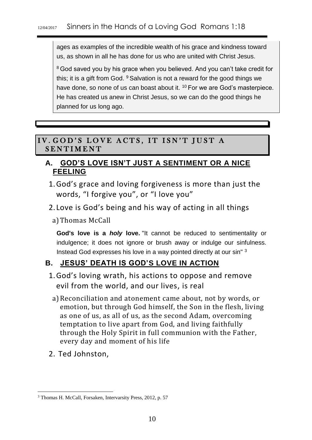ages as examples of the incredible wealth of his grace and kindness toward us, as shown in all he has done for us who are united with Christ Jesus.

<sup>8</sup> God saved you by his grace when you believed. And you can't take credit for this; it is a gift from God.  $9$  Salvation is not a reward for the good things we have done, so none of us can boast about it. <sup>10</sup> For we are God's masterpiece. He has created us anew in Christ Jesus, so we can do the good things he planned for us long ago.

## IV. GOD'S LOVE ACTS, IT ISN'T JUST A **SENTIMENT**

## **A. GOD'S LOVE ISN'T JUST A SENTIMENT OR A NICE FEELING**

- 1.God's grace and loving forgiveness is more than just the words, "I forgive you", or "I love you"
- 2. Love is God's being and his way of acting in all things
	- a)Thomas McCall

**God's love is a** *holy* **love.** "It cannot be reduced to sentimentality or indulgence; it does not ignore or brush away or indulge our sinfulness. Instead God expresses his love in a way pointed directly at our sin" <sup>3</sup>

# **B. JESUS' DEATH IS GOD'S LOVE IN ACTION**

- 1.God's loving wrath, his actions to oppose and remove evil from the world, and our lives, is real
	- a)Reconciliation and atonement came about, not by words, or emotion, but through God himself, the Son in the flesh, living as one of us, as all of us, as the second Adam, overcoming temptation to live apart from God, and living faithfully through the Holy Spirit in full communion with the Father, every day and moment of his life
- 2. Ted Johnston,

<sup>-</sup><sup>3</sup> Thomas H. McCall, Forsaken, Intervarsity Press, 2012, p. 57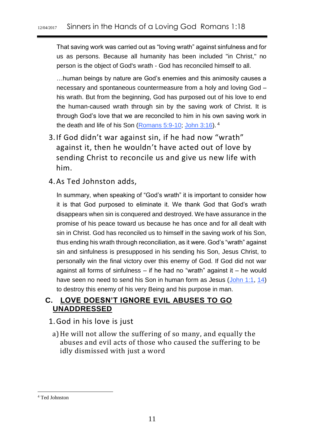That saving work was carried out as "loving wrath" against sinfulness and for us as persons. Because all humanity has been included "in Christ," no person is the object of God's wrath - God has reconciled himself to all.

…human beings by nature are God's enemies and this animosity causes a necessary and spontaneous countermeasure from a holy and loving God – his wrath. But from the beginning, God has purposed out of his love to end the human-caused wrath through sin by the saving work of Christ. It is through God's love that we are reconciled to him in his own saving work in the death and life of his Son [\(Romans 5:9-10;](http://biblia.com/bible/niv/Romans%205.9-10) [John 3:16\)](http://biblia.com/bible/niv/John%203.16).<sup>4</sup>

- 3.If God didn't war against sin, if he had now "wrath" against it, then he wouldn't have acted out of love by sending Christ to reconcile us and give us new life with him.
- 4.As Ted Johnston adds,

In summary, when speaking of "God's wrath" it is important to consider how it is that God purposed to eliminate it. We thank God that God's wrath disappears when sin is conquered and destroyed. We have assurance in the promise of his peace toward us because he has once and for all dealt with sin in Christ. God has reconciled us to himself in the saving work of his Son, thus ending his wrath through reconciliation, as it were. God's "wrath" against sin and sinfulness is presupposed in his sending his Son, Jesus Christ, to personally win the final victory over this enemy of God. If God did not war against all forms of sinfulness – if he had no "wrath" against it – he would have seen no need to send his Son in human form as Jesus [\(John 1:1,](http://biblia.com/bible/niv/John%201.1) [14\)](http://biblia.com/bible/niv/John%201.14) to destroy this enemy of his very Being and his purpose in man.

## **C. LOVE DOESN'T IGNORE EVIL ABUSES TO GO UNADDRESSED**

#### 1.God in his love is just

a)He will not allow the suffering of so many, and equally the abuses and evil acts of those who caused the suffering to be idly dismissed with just a word

<sup>4</sup> Ted Johnston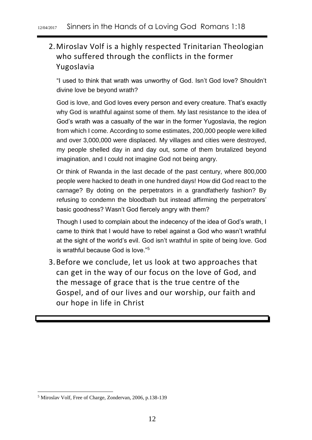# 2.Miroslav Volf is a highly respected Trinitarian Theologian who suffered through the conflicts in the former Yugoslavia

"I used to think that wrath was unworthy of God. Isn't God love? Shouldn't divine love be beyond wrath?

God is love, and God loves every person and every creature. That's exactly why God is wrathful against some of them. My last resistance to the idea of God's wrath was a casualty of the war in the former Yugoslavia, the region from which I come. According to some estimates, 200,000 people were killed and over 3,000,000 were displaced. My villages and cities were destroyed, my people shelled day in and day out, some of them brutalized beyond imagination, and I could not imagine God not being angry.

Or think of Rwanda in the last decade of the past century, where 800,000 people were hacked to death in one hundred days! How did God react to the carnage? By doting on the perpetrators in a grandfatherly fashion? By refusing to condemn the bloodbath but instead affirming the perpetrators' basic goodness? Wasn't God fiercely angry with them?

Though I used to complain about the indecency of the idea of God's wrath, I came to think that I would have to rebel against a God who wasn't wrathful at the sight of the world's evil. God isn't wrathful in spite of being love. God is wrathful because God is love."<sup>5</sup>

3.Before we conclude, let us look at two approaches that can get in the way of our focus on the love of God, and the message of grace that is the true centre of the Gospel, and of our lives and our worship, our faith and our hope in life in Christ

<sup>5</sup> Miroslav Volf, Free of Charge, Zondervan, 2006, p.138-139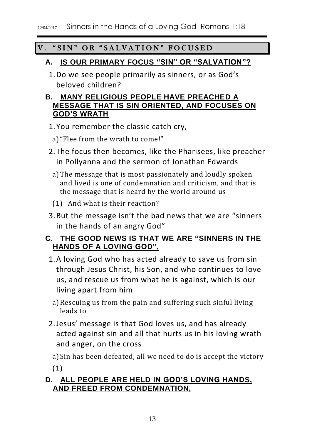## V. "SIN" OR "SALVATION" FOCUSED

### **A. IS OUR PRIMARY FOCUS "SIN" OR "SALVATION"?**

1.Do we see people primarily as sinners, or as God's beloved children?

## **B. MANY RELIGIOUS PEOPLE HAVE PREACHED A MESSAGE THAT IS SIN ORIENTED, AND FOCUSES ON GOD'S WRATH**

- 1.You remember the classic catch cry,
	- a)"Flee from the wrath to come!"
- 2.The focus then becomes, like the Pharisees, like preacher in Pollyanna and the sermon of Jonathan Edwards
	- a)The message that is most passionately and loudly spoken and lived is one of condemnation and criticism, and that is the message that is heard by the world around us
	- (1) And what is their reaction?
- 3.But the message isn't the bad news that we are "sinners in the hands of an angry God"

## **C. THE GOOD NEWS IS THAT WE ARE "SINNERS IN THE HANDS OF A LOVING GOD",**

- 1.A loving God who has acted already to save us from sin through Jesus Christ, his Son, and who continues to love us, and rescue us from what he is against, which is our living apart from him
- a)Rescuing us from the pain and suffering such sinful living leads to
- 2.Jesus' message is that God loves us, and has already acted against sin and all that hurts us in his loving wrath and anger, on the cross

a)Sin has been defeated, all we need to do is accept the victory (1)

## **D. ALL PEOPLE ARE HELD IN GOD'S LOVING HANDS, AND FREED FROM CONDEMNATION,**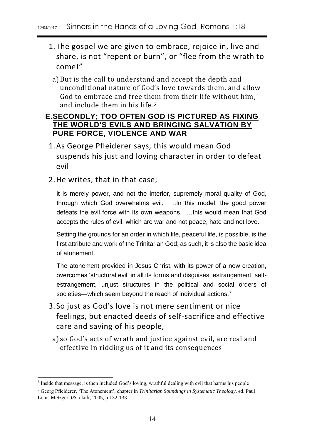- 1.The gospel we are given to embrace, rejoice in, live and share, is not "repent or burn", or "flee from the wrath to come!"
	- a)But is the call to understand and accept the depth and unconditional nature of God's love towards them, and allow God to embrace and free them from their life without him, and include them in his life.<sup>6</sup>

#### **E.SECONDLY; TOO OFTEN GOD IS PICTURED AS FIXING THE WORLD'S EVILS AND BRINGING SALVATION BY PURE FORCE, VIOLENCE AND WAR**

- 1.As George Pfleiderer says, this would mean God suspends his just and loving character in order to defeat evil
- 2.He writes, that in that case;

1

it is merely power, and not the interior, supremely moral quality of God, through which God overwhelms evil. …In this model, the good power defeats the evil force with its own weapons. …this would mean that God accepts the rules of evil, which are war and not peace, hate and not love.

Setting the grounds for an order in which life, peaceful life, is possible, is the first attribute and work of the Trinitarian God; as such, it is also the basic idea of atonement.

The atonement provided in Jesus Christ, with its power of a new creation, overcomes 'structural evil' in all its forms and disguises, estrangement, selfestrangement, unjust structures in the political and social orders of societies—which seem beyond the reach of individual actions.<sup>7</sup>

- 3. So just as God's love is not mere sentiment or nice feelings, but enacted deeds of self-sacrifice and effective care and saving of his people,
- a) so God's acts of wrath and justice against evil, are real and effective in ridding us of it and its consequences

<sup>6</sup> Inside that message, is then included God's loving, wrathful dealing with evil that harms his people

<sup>7</sup> Georg Pfleiderer, 'The Atonement', chapter in *Trinitarian Soundings in Systematic Theology*, ed. Paul Louis Metzger, t&t clark, 2005, p.132-133.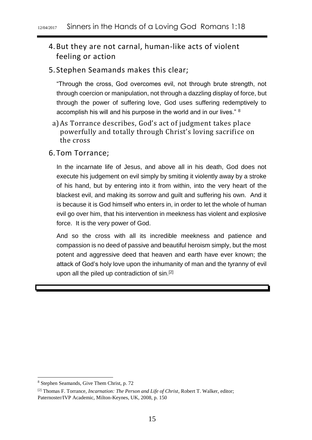# 4.But they are not carnal, human-like acts of violent feeling or action

#### 5. Stephen Seamands makes this clear;

"Through the cross, God overcomes evil, not through brute strength, not through coercion or manipulation, not through a dazzling display of force, but through the power of suffering love, God uses suffering redemptively to accomplish his will and his purpose in the world and in our lives." <sup>8</sup>

a)As Torrance describes, God's act of judgment takes place powerfully and totally through Christ's loving sacrifice on the cross

#### 6.Tom Torrance;

In the incarnate life of Jesus, and above all in his death, God does not execute his judgement on evil simply by smiting it violently away by a stroke of his hand, but by entering into it from within, into the very heart of the blackest evil, and making its sorrow and guilt and suffering his own. And it is because it is God himself who enters in, in order to let the whole of human evil go over him, that his intervention in meekness has violent and explosive force. It is the very power of God.

And so the cross with all its incredible meekness and patience and compassion is no deed of passive and beautiful heroism simply, but the most potent and aggressive deed that heaven and earth have ever known; the attack of God's holy love upon the inhumanity of man and the tyranny of evil upon all the piled up contradiction of sin.<sup>[2]</sup>

1

<sup>8</sup> Stephen Seamands, Give Them Christ, p. 72

<sup>[2]</sup> Thomas F. Torrance, *Incarnation: The Person and Life of Christ*, Robert T. Walker, editor; Paternoster/IVP Academic, Milton-Keynes, UK, 2008, p. 150